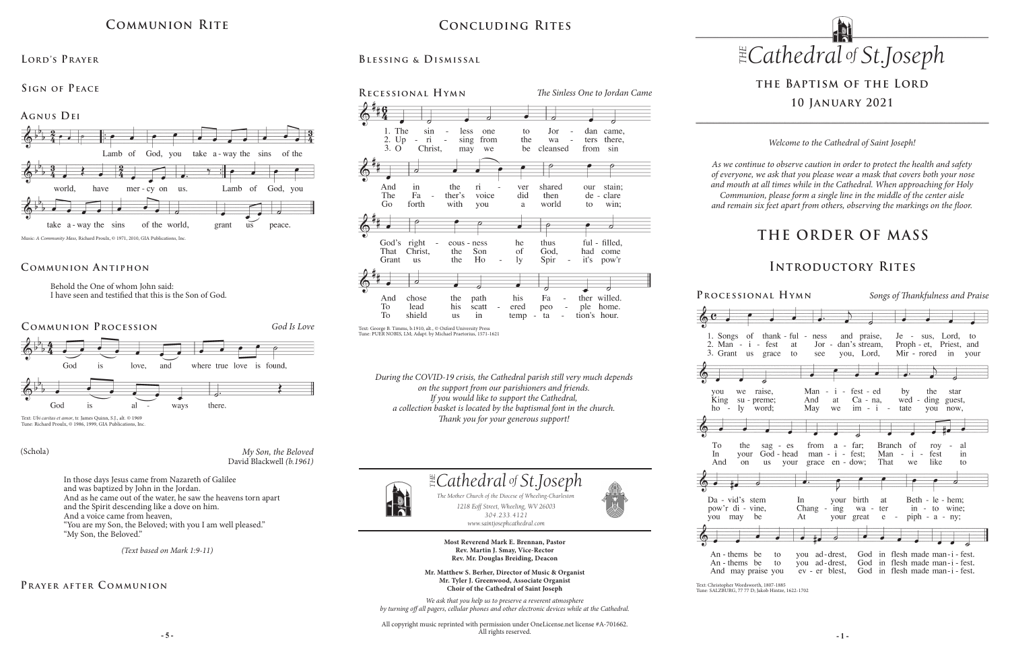# **THE ORDER OF MASS**

## **Introductory Rites**

**Processional Hymn** *Songs of Thankfulness and Praise*

| i - fest<br>us grace<br>to                  | of thank - ful - ness and praise,<br>at                      | Jor - dan's stream,<br>see you, Lord,         | Je - sus, Lord, to<br>Proph - et, Priest, and<br>Mir - rored in your                    |                |
|---------------------------------------------|--------------------------------------------------------------|-----------------------------------------------|-----------------------------------------------------------------------------------------|----------------|
|                                             |                                                              |                                               |                                                                                         |                |
|                                             |                                                              |                                               |                                                                                         |                |
| raise,<br>e<br>u - preme;<br>word:<br>7.    | Man<br>And<br>May we                                         | $- i - \text{fest} - \text{ed}$<br>$im - i -$ | by the<br>at Ca - na, wed - ding guest,<br>tate you                                     | star<br>now.   |
|                                             |                                                              |                                               |                                                                                         |                |
|                                             |                                                              |                                               |                                                                                         |                |
| he<br>sag - es<br>our<br>m                  | from<br>God-head man-i-fest; Man-<br>us your grace en - dow; | $a - far;$<br>That                            | Branch of<br>roy<br>$\mathbf{i}$<br>fest<br>like<br>we                                  | al<br>in<br>to |
| Ó                                           |                                                              |                                               |                                                                                         |                |
| $\mathbf{s}$<br>stem<br>- vine,<br>be<br>Ĭ. | In<br>Chang<br>At                                            | your birth at<br>your great e                 | Beth - le - hem;<br>- ing wa - ter in - to wine;<br>- $piph - a - ny;$                  |                |
|                                             |                                                              |                                               |                                                                                         |                |
|                                             |                                                              |                                               |                                                                                         |                |
| ns be<br>to<br>as be<br>to<br>y praise you  | you ad-drest,<br>you ad-drest,<br>ev - er blest,             | God<br>God                                    | God in flesh made man-i-fest.<br>in flesh made man-i-fest.<br>in flesh made man-i-fest. |                |

*www.saintjosephcathedral.com*





**Most Reverend Mark E. Brennan, Pastor Rev. Martin J. Smay, Vice-Rector Rev. Mr. Douglas Breiding, Deacon**

**- 5 - - 1 -** All copyright music reprinted with permission under OneLicense.net license #A-701662. All rights reserved.





Da - vid' pow'r di you may



 $An - then$  $An - then$ And ma

**Mr. Matthew S. Berher, Director of Music & Organist Mr. Tyler J. Greenwood, Associate Organist Choir of the Cathedral of Saint Joseph**

*We ask that you help us to preserve a reverent atmosphere by turning off all pagers, cellular phones and other electronic devices while at the Cathedral.*

*During the COVID-19 crisis, the Cathedral parish still very much depends on the support from our parishioners and friends. If you would like to support the Cathedral, a collection basket is located by the baptismal font in the church. Thank you for your generous support!*



*Welcome to the Cathedral of Saint Joseph!*

*As we continue to observe caution in order to protect the health and safety of everyone, we ask that you please wear a mask that covers both your nose and mouth at all times while in the Cathedral. When approaching for Holy Communion, please form a single line in the middle of the center aisle and remain six feet apart from others, observing the markings on the floor.* 

# **the Baptism of the Lord 10 January 2021**

# **Communion Rite**

#### **Lord's Prayer**



Behold the One of whom John said: I have seen and testified that this is the Son of God.

### **Communion A ntiphon**



Tune: Richard Proulx, © 1986, 1999, GIA Publications, Inc.

In those days Jesus came from Nazareth of Galilee and was baptized by John in the Jordan. And as he came out of the water, he saw the heavens torn apart and the Spirit descending like a dove on him. And a voice came from heaven, "You are my Son, the Beloved; with you I am well pleased." "My Son, the Beloved."

*(Text based on Mark 1:9-11)*

*My Son, the Beloved* David Blackwell *(b.1961)*

#### (Schola)

## **Prayer after C ommunion**

#### **Sign of Peace**

# **Concluding Rites**

**Blessing & Dismissal**



Text: Christopher Wordsworth, 1807-1885 Tune: SALZBURG, 77 77 D; Jakob Hintze, 1622-1702